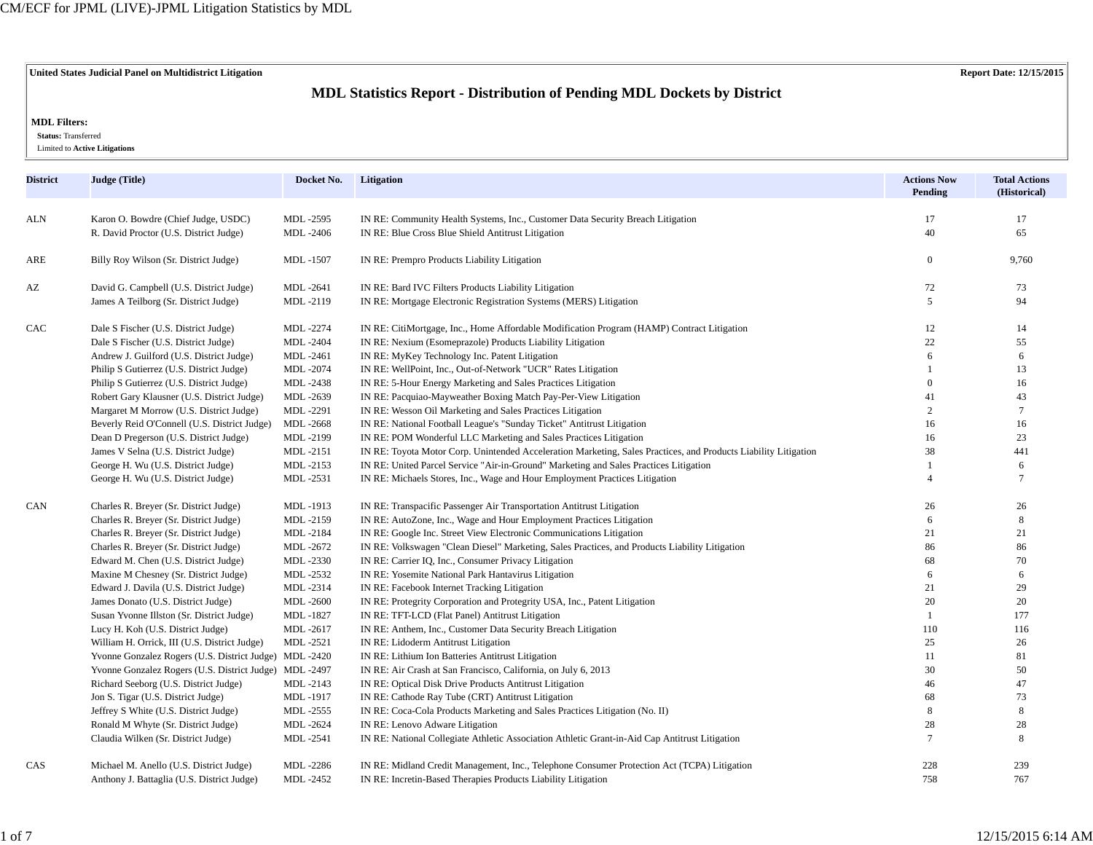**United States Judicial Panel on Multidistrict Litigation Report Date: 12/15/2015**

# **MDL Statistics Report - Distribution of Pending MDL Dockets by District**

### **MDL Filters:**

 **Status:** Transferred

Limited to **Active Litigations**

| <b>District</b> | Judge (Title)                                          | Docket No.       | Litigation                                                                                                      | <b>Actions Now</b><br>Pending | <b>Total Actions</b><br>(Historical) |
|-----------------|--------------------------------------------------------|------------------|-----------------------------------------------------------------------------------------------------------------|-------------------------------|--------------------------------------|
| ALN             | Karon O. Bowdre (Chief Judge, USDC)                    | MDL-2595         | IN RE: Community Health Systems, Inc., Customer Data Security Breach Litigation                                 | 17                            | 17                                   |
|                 | R. David Proctor (U.S. District Judge)                 | MDL-2406         | IN RE: Blue Cross Blue Shield Antitrust Litigation                                                              | 40                            | 65                                   |
| ARE             | Billy Roy Wilson (Sr. District Judge)                  | MDL-1507         | IN RE: Prempro Products Liability Litigation                                                                    | $\Omega$                      | 9,760                                |
| AZ              | David G. Campbell (U.S. District Judge)                | MDL-2641         | IN RE: Bard IVC Filters Products Liability Litigation                                                           | 72                            | 73                                   |
|                 | James A Teilborg (Sr. District Judge)                  | MDL-2119         | IN RE: Mortgage Electronic Registration Systems (MERS) Litigation                                               | 5                             | 94                                   |
| CAC             | Dale S Fischer (U.S. District Judge)                   | MDL-2274         | IN RE: CitiMortgage, Inc., Home Affordable Modification Program (HAMP) Contract Litigation                      | 12                            | 14                                   |
|                 | Dale S Fischer (U.S. District Judge)                   | <b>MDL-2404</b>  | IN RE: Nexium (Esomeprazole) Products Liability Litigation                                                      | 22                            | 55                                   |
|                 | Andrew J. Guilford (U.S. District Judge)               | MDL-2461         | IN RE: MyKey Technology Inc. Patent Litigation                                                                  | 6                             | 6                                    |
|                 | Philip S Gutierrez (U.S. District Judge)               | MDL-2074         | IN RE: WellPoint, Inc., Out-of-Network "UCR" Rates Litigation                                                   |                               | 13                                   |
|                 | Philip S Gutierrez (U.S. District Judge)               | MDL-2438         | IN RE: 5-Hour Energy Marketing and Sales Practices Litigation                                                   | $\Omega$                      | 16                                   |
|                 | Robert Gary Klausner (U.S. District Judge)             | MDL-2639         | IN RE: Pacquiao-Mayweather Boxing Match Pay-Per-View Litigation                                                 | 41                            | 43                                   |
|                 | Margaret M Morrow (U.S. District Judge)                | MDL-2291         | IN RE: Wesson Oil Marketing and Sales Practices Litigation                                                      | $\overline{2}$                |                                      |
|                 | Beverly Reid O'Connell (U.S. District Judge)           | MDL-2668         | IN RE: National Football League's "Sunday Ticket" Antitrust Litigation                                          | 16                            | 16                                   |
|                 | Dean D Pregerson (U.S. District Judge)                 | MDL-2199         | IN RE: POM Wonderful LLC Marketing and Sales Practices Litigation                                               | 16                            | 23                                   |
|                 | James V Selna (U.S. District Judge)                    | MDL-2151         | IN RE: Toyota Motor Corp. Unintended Acceleration Marketing, Sales Practices, and Products Liability Litigation | 38                            | 441                                  |
|                 | George H. Wu (U.S. District Judge)                     | MDL-2153         | IN RE: United Parcel Service "Air-in-Ground" Marketing and Sales Practices Litigation                           | $\mathbf{1}$                  | 6                                    |
|                 | George H. Wu (U.S. District Judge)                     | MDL-2531         | IN RE: Michaels Stores, Inc., Wage and Hour Employment Practices Litigation                                     | $\overline{4}$                | $\overline{7}$                       |
| CAN             | Charles R. Breyer (Sr. District Judge)                 | MDL-1913         | IN RE: Transpacific Passenger Air Transportation Antitrust Litigation                                           | 26                            | 26                                   |
|                 | Charles R. Breyer (Sr. District Judge)                 | MDL-2159         | IN RE: AutoZone, Inc., Wage and Hour Employment Practices Litigation                                            | 6                             | 8                                    |
|                 | Charles R. Breyer (Sr. District Judge)                 | MDL-2184         | IN RE: Google Inc. Street View Electronic Communications Litigation                                             | 21                            | 21                                   |
|                 | Charles R. Breyer (Sr. District Judge)                 | MDL-2672         | IN RE: Volkswagen "Clean Diesel" Marketing, Sales Practices, and Products Liability Litigation                  | 86                            | 86                                   |
|                 | Edward M. Chen (U.S. District Judge)                   | MDL-2330         | IN RE: Carrier IQ, Inc., Consumer Privacy Litigation                                                            | 68                            | 70                                   |
|                 | Maxine M Chesney (Sr. District Judge)                  | MDL-2532         | IN RE: Yosemite National Park Hantavirus Litigation                                                             | 6                             | 6                                    |
|                 | Edward J. Davila (U.S. District Judge)                 | MDL-2314         | IN RE: Facebook Internet Tracking Litigation                                                                    | 21                            | 29                                   |
|                 | James Donato (U.S. District Judge)                     | <b>MDL-2600</b>  | IN RE: Protegrity Corporation and Protegrity USA, Inc., Patent Litigation                                       | 20                            | 20                                   |
|                 | Susan Yvonne Illston (Sr. District Judge)              | MDL-1827         | IN RE: TFT-LCD (Flat Panel) Antitrust Litigation                                                                | $\mathbf{1}$                  | 177                                  |
|                 | Lucy H. Koh (U.S. District Judge)                      | MDL-2617         | IN RE: Anthem, Inc., Customer Data Security Breach Litigation                                                   | 110                           | 116                                  |
|                 | William H. Orrick, III (U.S. District Judge)           | MDL-2521         | IN RE: Lidoderm Antitrust Litigation                                                                            | 25                            | 26                                   |
|                 | Yvonne Gonzalez Rogers (U.S. District Judge) MDL -2420 |                  | IN RE: Lithium Ion Batteries Antitrust Litigation                                                               | 11                            | 81                                   |
|                 | Yvonne Gonzalez Rogers (U.S. District Judge) MDL -2497 |                  | IN RE: Air Crash at San Francisco, California, on July 6, 2013                                                  | 30                            | 50                                   |
|                 | Richard Seeborg (U.S. District Judge)                  | MDL-2143         | IN RE: Optical Disk Drive Products Antitrust Litigation                                                         | 46                            | 47                                   |
|                 | Jon S. Tigar (U.S. District Judge)                     | MDL-1917         | IN RE: Cathode Ray Tube (CRT) Antitrust Litigation                                                              | 68                            | 73                                   |
|                 | Jeffrey S White (U.S. District Judge)                  | MDL-2555         | IN RE: Coca-Cola Products Marketing and Sales Practices Litigation (No. II)                                     | 8                             | 8                                    |
|                 | Ronald M Whyte (Sr. District Judge)                    | MDL-2624         | IN RE: Lenovo Adware Litigation                                                                                 | 28                            | 28                                   |
|                 | Claudia Wilken (Sr. District Judge)                    | <b>MDL</b> -2541 | IN RE: National Collegiate Athletic Association Athletic Grant-in-Aid Cap Antitrust Litigation                  | $\tau$                        | 8                                    |
| CAS             | Michael M. Anello (U.S. District Judge)                | MDL-2286         | IN RE: Midland Credit Management, Inc., Telephone Consumer Protection Act (TCPA) Litigation                     | 228                           | 239                                  |
|                 | Anthony J. Battaglia (U.S. District Judge)             | MDL-2452         | IN RE: Incretin-Based Therapies Products Liability Litigation                                                   | 758                           | 767                                  |

1 of 7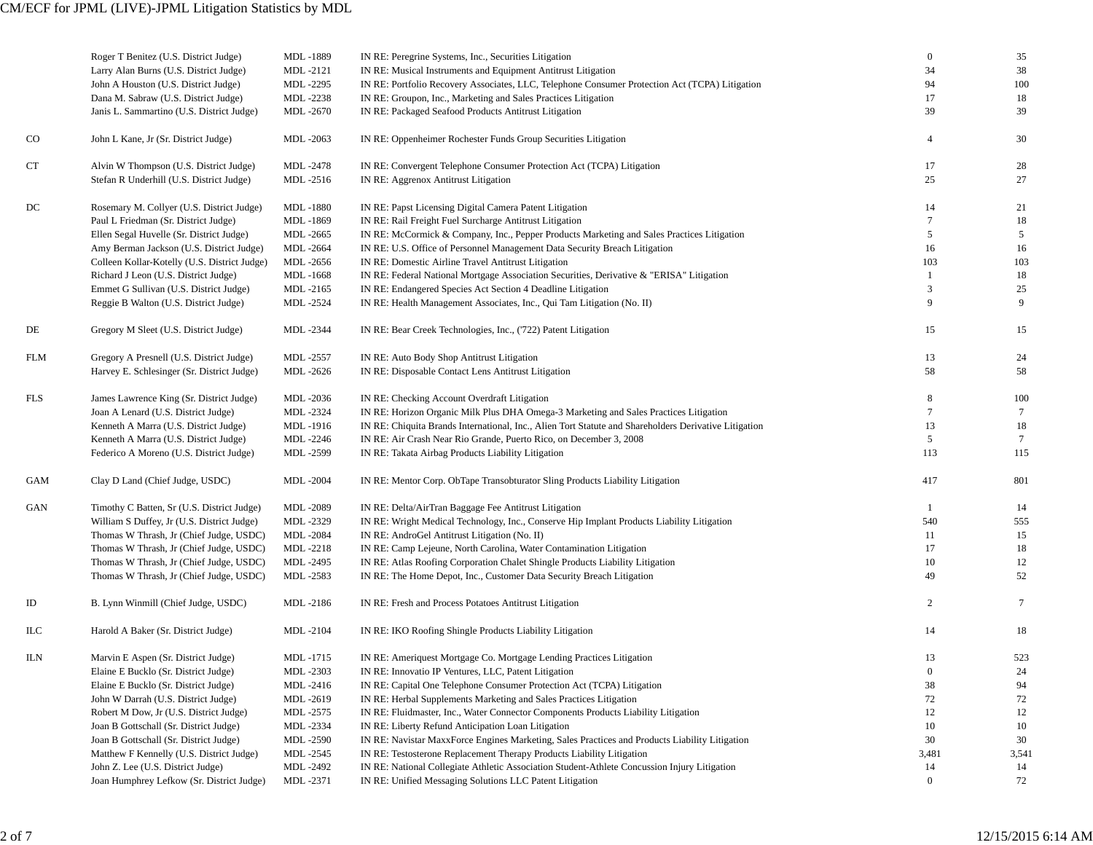|               | Roger T Benitez (U.S. District Judge)        | MDL-1889             | IN RE: Peregrine Systems, Inc., Securities Litigation                                                 | $\boldsymbol{0}$<br>34 | 35              |
|---------------|----------------------------------------------|----------------------|-------------------------------------------------------------------------------------------------------|------------------------|-----------------|
|               | Larry Alan Burns (U.S. District Judge)       | MDL-2121             | IN RE: Musical Instruments and Equipment Antitrust Litigation                                         |                        | 38              |
|               | John A Houston (U.S. District Judge)         | MDL-2295             | IN RE: Portfolio Recovery Associates, LLC, Telephone Consumer Protection Act (TCPA) Litigation        | 94<br>17               | 100             |
|               | Dana M. Sabraw (U.S. District Judge)         | MDL-2238<br>MDL-2670 | IN RE: Groupon, Inc., Marketing and Sales Practices Litigation                                        | 39                     | 18<br>39        |
|               | Janis L. Sammartino (U.S. District Judge)    |                      | IN RE: Packaged Seafood Products Antitrust Litigation                                                 |                        |                 |
| <sub>CO</sub> | John L Kane, Jr (Sr. District Judge)         | MDL-2063             | IN RE: Oppenheimer Rochester Funds Group Securities Litigation                                        | $\overline{4}$         | 30              |
| CT            | Alvin W Thompson (U.S. District Judge)       | MDL-2478             | IN RE: Convergent Telephone Consumer Protection Act (TCPA) Litigation                                 | 17                     | 28              |
|               | Stefan R Underhill (U.S. District Judge)     | MDL-2516             | IN RE: Aggrenox Antitrust Litigation                                                                  | 25                     | 27              |
| DC            | Rosemary M. Collyer (U.S. District Judge)    | MDL-1880             | IN RE: Papst Licensing Digital Camera Patent Litigation                                               | 14                     | 21              |
|               | Paul L Friedman (Sr. District Judge)         | MDL-1869             | IN RE: Rail Freight Fuel Surcharge Antitrust Litigation                                               | $\overline{7}$         | 18              |
|               | Ellen Segal Huvelle (Sr. District Judge)     | MDL-2665             | IN RE: McCormick & Company, Inc., Pepper Products Marketing and Sales Practices Litigation            | 5                      | 5               |
|               | Amy Berman Jackson (U.S. District Judge)     | <b>MDL-2664</b>      | IN RE: U.S. Office of Personnel Management Data Security Breach Litigation                            | 16                     | 16              |
|               | Colleen Kollar-Kotelly (U.S. District Judge) | MDL-2656             | IN RE: Domestic Airline Travel Antitrust Litigation                                                   | 103                    | 103             |
|               | Richard J Leon (U.S. District Judge)         | MDL-1668             | IN RE: Federal National Mortgage Association Securities, Derivative & "ERISA" Litigation              | -1                     | 18              |
|               | Emmet G Sullivan (U.S. District Judge)       | MDL-2165             | IN RE: Endangered Species Act Section 4 Deadline Litigation                                           | 3                      | 25              |
|               | Reggie B Walton (U.S. District Judge)        | MDL-2524             | IN RE: Health Management Associates, Inc., Qui Tam Litigation (No. II)                                | 9                      | 9               |
| DE            | Gregory M Sleet (U.S. District Judge)        | MDL-2344             | IN RE: Bear Creek Technologies, Inc., ('722) Patent Litigation                                        | 15                     | 15              |
| <b>FLM</b>    | Gregory A Presnell (U.S. District Judge)     | MDL-2557             | IN RE: Auto Body Shop Antitrust Litigation                                                            | 13                     | 24              |
|               | Harvey E. Schlesinger (Sr. District Judge)   | MDL-2626             | IN RE: Disposable Contact Lens Antitrust Litigation                                                   | 58                     | 58              |
|               |                                              |                      |                                                                                                       |                        |                 |
| FLS           | James Lawrence King (Sr. District Judge)     | MDL-2036             | IN RE: Checking Account Overdraft Litigation                                                          | 8                      | 100             |
|               | Joan A Lenard (U.S. District Judge)          | MDL-2324             | IN RE: Horizon Organic Milk Plus DHA Omega-3 Marketing and Sales Practices Litigation                 | 7                      | $\tau$          |
|               | Kenneth A Marra (U.S. District Judge)        | MDL-1916             | IN RE: Chiquita Brands International, Inc., Alien Tort Statute and Shareholders Derivative Litigation | 13                     | 18              |
|               | Kenneth A Marra (U.S. District Judge)        | MDL-2246             | IN RE: Air Crash Near Rio Grande, Puerto Rico, on December 3, 2008                                    | 5                      | 7               |
|               | Federico A Moreno (U.S. District Judge)      | MDL-2599             | IN RE: Takata Airbag Products Liability Litigation                                                    | 113                    | 115             |
| GAM           | Clay D Land (Chief Judge, USDC)              | <b>MDL-2004</b>      | IN RE: Mentor Corp. ObTape Transobturator Sling Products Liability Litigation                         | 417                    | 801             |
| GAN           | Timothy C Batten, Sr (U.S. District Judge)   | MDL-2089             | IN RE: Delta/AirTran Baggage Fee Antitrust Litigation                                                 | $\mathbf{1}$           | 14              |
|               | William S Duffey, Jr (U.S. District Judge)   | MDL-2329             | IN RE: Wright Medical Technology, Inc., Conserve Hip Implant Products Liability Litigation            | 540                    | 555             |
|               | Thomas W Thrash, Jr (Chief Judge, USDC)      | MDL-2084             | IN RE: AndroGel Antitrust Litigation (No. II)                                                         | 11                     | 15              |
|               | Thomas W Thrash, Jr (Chief Judge, USDC)      | MDL-2218             | IN RE: Camp Lejeune, North Carolina, Water Contamination Litigation                                   | 17                     | 18              |
|               | Thomas W Thrash, Jr (Chief Judge, USDC)      | MDL-2495             | IN RE: Atlas Roofing Corporation Chalet Shingle Products Liability Litigation                         | 10                     | 12              |
|               | Thomas W Thrash, Jr (Chief Judge, USDC)      | MDL-2583             | IN RE: The Home Depot, Inc., Customer Data Security Breach Litigation                                 | 49                     | 52              |
| ID            | B. Lynn Winmill (Chief Judge, USDC)          | MDL-2186             | IN RE: Fresh and Process Potatoes Antitrust Litigation                                                | $\overline{c}$         | $7\overline{ }$ |
| ILC           | Harold A Baker (Sr. District Judge)          | MDL-2104             | IN RE: IKO Roofing Shingle Products Liability Litigation                                              | 14                     | 18              |
| ILN           | Marvin E Aspen (Sr. District Judge)          | MDL-1715             | IN RE: Ameriquest Mortgage Co. Mortgage Lending Practices Litigation                                  | 13                     | 523             |
|               | Elaine E Bucklo (Sr. District Judge)         | MDL-2303             | IN RE: Innovatio IP Ventures, LLC, Patent Litigation                                                  | $\bf{0}$               | 24              |
|               | Elaine E Bucklo (Sr. District Judge)         | MDL-2416             | IN RE: Capital One Telephone Consumer Protection Act (TCPA) Litigation                                | 38                     | 94              |
|               | John W Darrah (U.S. District Judge)          | MDL-2619             | IN RE: Herbal Supplements Marketing and Sales Practices Litigation                                    | 72                     | 72              |
|               | Robert M Dow, Jr (U.S. District Judge)       | MDL-2575             | IN RE: Fluidmaster, Inc., Water Connector Components Products Liability Litigation                    | 12                     | 12              |
|               | Joan B Gottschall (Sr. District Judge)       | MDL-2334             | IN RE: Liberty Refund Anticipation Loan Litigation                                                    | 10                     | 10              |
|               | Joan B Gottschall (Sr. District Judge)       | MDL-2590             | IN RE: Navistar MaxxForce Engines Marketing, Sales Practices and Products Liability Litigation        | 30                     | 30              |
|               | Matthew F Kennelly (U.S. District Judge)     | MDL-2545             | IN RE: Testosterone Replacement Therapy Products Liability Litigation                                 | 3,481                  | 3,541           |
|               | John Z. Lee (U.S. District Judge)            | MDL-2492             | IN RE: National Collegiate Athletic Association Student-Athlete Concussion Injury Litigation          | 14                     | 14              |
|               | Joan Humphrey Lefkow (Sr. District Judge)    | MDL-2371             | IN RE: Unified Messaging Solutions LLC Patent Litigation                                              | $\boldsymbol{0}$       | 72              |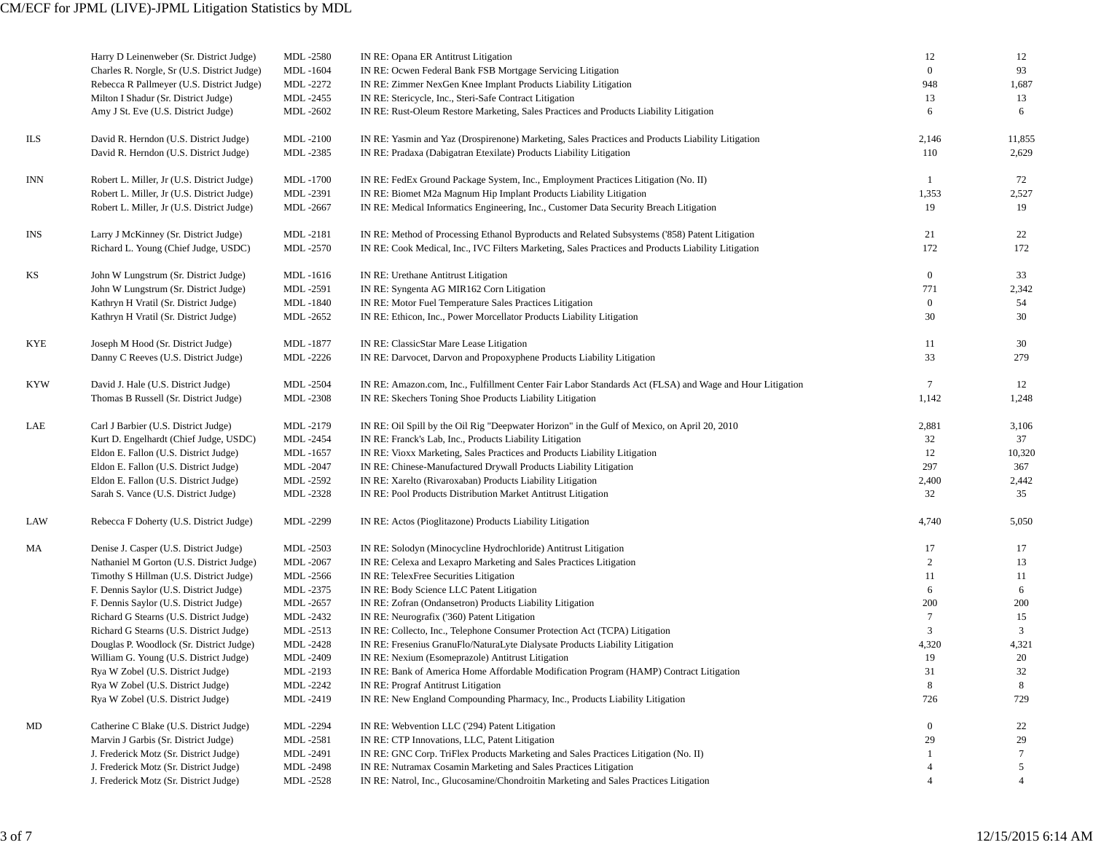|     | Harry D Leinenweber (Sr. District Judge)<br>Charles R. Norgle, Sr (U.S. District Judge) | <b>MDL-2580</b><br>MDL-1604 | IN RE: Opana ER Antitrust Litigation<br>IN RE: Ocwen Federal Bank FSB Mortgage Servicing Litigation                           | 12<br>$\boldsymbol{0}$ | 12<br>93        |
|-----|-----------------------------------------------------------------------------------------|-----------------------------|-------------------------------------------------------------------------------------------------------------------------------|------------------------|-----------------|
|     | Rebecca R Pallmeyer (U.S. District Judge)                                               | MDL-2272                    | IN RE: Zimmer NexGen Knee Implant Products Liability Litigation                                                               | 948                    | 1,687           |
|     | Milton I Shadur (Sr. District Judge)                                                    | MDL-2455                    | IN RE: Stericycle, Inc., Steri-Safe Contract Litigation                                                                       | 13                     | 13              |
|     | Amy J St. Eve (U.S. District Judge)                                                     | MDL-2602                    | IN RE: Rust-Oleum Restore Marketing, Sales Practices and Products Liability Litigation                                        | 6                      | 6               |
| ILS | David R. Herndon (U.S. District Judge)                                                  | MDL-2100                    | IN RE: Yasmin and Yaz (Drospirenone) Marketing, Sales Practices and Products Liability Litigation                             | 2,146                  | 11,855          |
|     | David R. Herndon (U.S. District Judge)                                                  | MDL-2385                    | IN RE: Pradaxa (Dabigatran Etexilate) Products Liability Litigation                                                           | 110                    | 2,629           |
| INN | Robert L. Miller, Jr (U.S. District Judge)                                              | MDL-1700                    | IN RE: FedEx Ground Package System, Inc., Employment Practices Litigation (No. II)                                            |                        | 72              |
|     | Robert L. Miller, Jr (U.S. District Judge)                                              | MDL-2391                    | IN RE: Biomet M2a Magnum Hip Implant Products Liability Litigation                                                            | 1,353                  | 2,527           |
|     | Robert L. Miller, Jr (U.S. District Judge)                                              | MDL-2667                    | IN RE: Medical Informatics Engineering, Inc., Customer Data Security Breach Litigation                                        | 19                     | 19              |
| INS | Larry J McKinney (Sr. District Judge)                                                   | MDL-2181                    | IN RE: Method of Processing Ethanol Byproducts and Related Subsystems ('858) Patent Litigation                                | 21                     | 22              |
|     | Richard L. Young (Chief Judge, USDC)                                                    | MDL-2570                    | IN RE: Cook Medical, Inc., IVC Filters Marketing, Sales Practices and Products Liability Litigation                           | 172                    | 172             |
| KS  | John W Lungstrum (Sr. District Judge)                                                   | MDL-1616                    | IN RE: Urethane Antitrust Litigation                                                                                          | $\overline{0}$         | 33              |
|     | John W Lungstrum (Sr. District Judge)                                                   | MDL-2591                    | IN RE: Syngenta AG MIR162 Corn Litigation                                                                                     | 771                    | 2,342           |
|     | Kathryn H Vratil (Sr. District Judge)                                                   | <b>MDL-1840</b>             | IN RE: Motor Fuel Temperature Sales Practices Litigation                                                                      | $\boldsymbol{0}$       | 54              |
|     | Kathryn H Vratil (Sr. District Judge)                                                   | MDL-2652                    | IN RE: Ethicon, Inc., Power Morcellator Products Liability Litigation                                                         | 30                     | 30              |
| KYE | Joseph M Hood (Sr. District Judge)                                                      | MDL-1877                    | IN RE: ClassicStar Mare Lease Litigation                                                                                      | 11                     | 30              |
|     | Danny C Reeves (U.S. District Judge)                                                    | MDL-2226                    | IN RE: Darvocet, Darvon and Propoxyphene Products Liability Litigation                                                        | 33                     | 279             |
| KYW | David J. Hale (U.S. District Judge)                                                     | <b>MDL-2504</b>             | IN RE: Amazon.com, Inc., Fulfillment Center Fair Labor Standards Act (FLSA) and Wage and Hour Litigation                      | $7\phantom{.0}$        | 12              |
|     | Thomas B Russell (Sr. District Judge)                                                   | <b>MDL-2308</b>             | IN RE: Skechers Toning Shoe Products Liability Litigation                                                                     | 1,142                  | 1,248           |
| LAE | Carl J Barbier (U.S. District Judge)                                                    | MDL-2179                    | IN RE: Oil Spill by the Oil Rig "Deepwater Horizon" in the Gulf of Mexico, on April 20, 2010                                  | 2,881                  | 3,106           |
|     | Kurt D. Engelhardt (Chief Judge, USDC)                                                  | MDL-2454                    | IN RE: Franck's Lab, Inc., Products Liability Litigation                                                                      | 32                     | 37              |
|     | Eldon E. Fallon (U.S. District Judge)                                                   | MDL-1657                    | IN RE: Vioxx Marketing, Sales Practices and Products Liability Litigation                                                     | 12                     | 10,320          |
|     | Eldon E. Fallon (U.S. District Judge)                                                   | <b>MDL-2047</b>             | IN RE: Chinese-Manufactured Drywall Products Liability Litigation                                                             | 297                    | 367             |
|     | Eldon E. Fallon (U.S. District Judge)                                                   | MDL-2592                    | IN RE: Xarelto (Rivaroxaban) Products Liability Litigation                                                                    | 2,400                  | 2,442           |
|     | Sarah S. Vance (U.S. District Judge)                                                    | MDL-2328                    | IN RE: Pool Products Distribution Market Antitrust Litigation                                                                 | 32                     | 35              |
| LAW | Rebecca F Doherty (U.S. District Judge)                                                 | MDL-2299                    | IN RE: Actos (Pioglitazone) Products Liability Litigation                                                                     | 4,740                  | 5,050           |
| МA  | Denise J. Casper (U.S. District Judge)                                                  | MDL-2503                    | IN RE: Solodyn (Minocycline Hydrochloride) Antitrust Litigation                                                               | 17                     | 17              |
|     | Nathaniel M Gorton (U.S. District Judge)                                                | MDL -2067                   | IN RE: Celexa and Lexapro Marketing and Sales Practices Litigation                                                            | 2                      | 13              |
|     | Timothy S Hillman (U.S. District Judge)                                                 | MDL-2566                    | IN RE: TelexFree Securities Litigation                                                                                        | 11                     | 11              |
|     | F. Dennis Saylor (U.S. District Judge)                                                  | MDL-2375                    | IN RE: Body Science LLC Patent Litigation                                                                                     | 6                      | 6               |
|     | F. Dennis Saylor (U.S. District Judge)                                                  | MDL-2657                    | IN RE: Zofran (Ondansetron) Products Liability Litigation                                                                     | 200                    | 200             |
|     | Richard G Stearns (U.S. District Judge)                                                 | MDL-2432                    | IN RE: Neurografix ('360) Patent Litigation                                                                                   | 7                      | 15              |
|     | Richard G Stearns (U.S. District Judge)                                                 | MDL-2513                    | IN RE: Collecto, Inc., Telephone Consumer Protection Act (TCPA) Litigation                                                    | 3                      | $\overline{3}$  |
|     | Douglas P. Woodlock (Sr. District Judge)                                                | <b>MDL-2428</b>             | IN RE: Fresenius GranuFlo/NaturaLyte Dialysate Products Liability Litigation                                                  | 4,320                  | 4,321           |
|     | William G. Young (U.S. District Judge)                                                  | MDL-2409<br>MDL-2193        | IN RE: Nexium (Esomeprazole) Antitrust Litigation                                                                             | 19<br>31               | 20<br>32        |
|     | Rya W Zobel (U.S. District Judge)<br>Rya W Zobel (U.S. District Judge)                  | MDL-2242                    | IN RE: Bank of America Home Affordable Modification Program (HAMP) Contract Litigation<br>IN RE: Prograf Antitrust Litigation | 8                      | 8               |
|     | Rya W Zobel (U.S. District Judge)                                                       | MDL-2419                    | IN RE: New England Compounding Pharmacy, Inc., Products Liability Litigation                                                  | 726                    | 729             |
| MD  | Catherine C Blake (U.S. District Judge)                                                 | MDL-2294                    | IN RE: Webvention LLC ('294) Patent Litigation                                                                                | $\boldsymbol{0}$       | 22              |
|     | Marvin J Garbis (Sr. District Judge)                                                    | MDL-2581                    | IN RE: CTP Innovations, LLC, Patent Litigation                                                                                | 29                     | 29              |
|     | J. Frederick Motz (Sr. District Judge)                                                  | MDL-2491                    | IN RE: GNC Corp. TriFlex Products Marketing and Sales Practices Litigation (No. II)                                           |                        | $7\phantom{.0}$ |
|     | J. Frederick Motz (Sr. District Judge)                                                  | <b>MDL-2498</b>             | IN RE: Nutramax Cosamin Marketing and Sales Practices Litigation                                                              |                        | 5               |
|     | J. Frederick Motz (Sr. District Judge)                                                  | MDL-2528                    | IN RE: Natrol, Inc., Glucosamine/Chondroitin Marketing and Sales Practices Litigation                                         | $\overline{4}$         | $\overline{4}$  |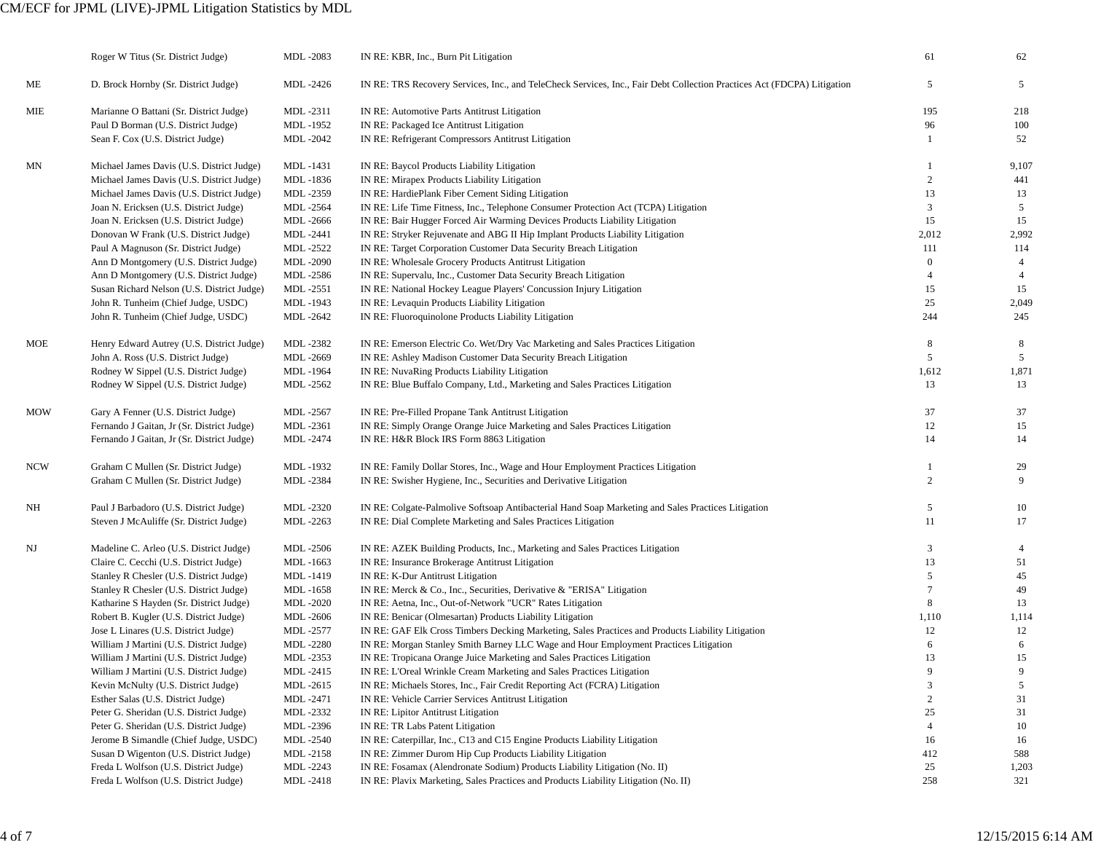## CM/ECF for JPML (LIVE)-JPML Litigation Statistics by MDL

|            | Roger W Titus (Sr. District Judge)         | MDL-2083        | IN RE: KBR, Inc., Burn Pit Litigation                                                                                   | 61             | 62             |
|------------|--------------------------------------------|-----------------|-------------------------------------------------------------------------------------------------------------------------|----------------|----------------|
| МE         | D. Brock Hornby (Sr. District Judge)       | MDL-2426        | IN RE: TRS Recovery Services, Inc., and TeleCheck Services, Inc., Fair Debt Collection Practices Act (FDCPA) Litigation | 5              | 5              |
| MIE        | Marianne O Battani (Sr. District Judge)    | MDL-2311        | IN RE: Automotive Parts Antitrust Litigation                                                                            | 195            | 218            |
|            | Paul D Borman (U.S. District Judge)        | MDL-1952        | IN RE: Packaged Ice Antitrust Litigation                                                                                | 96             | 100            |
|            | Sean F. Cox (U.S. District Judge)          | MDL-2042        | IN RE: Refrigerant Compressors Antitrust Litigation                                                                     | -1             | 52             |
| MΝ         | Michael James Davis (U.S. District Judge)  | MDL-1431        | IN RE: Baycol Products Liability Litigation                                                                             | $\mathbf{1}$   | 9,107          |
|            | Michael James Davis (U.S. District Judge)  | MDL-1836        | IN RE: Mirapex Products Liability Litigation                                                                            | $\sqrt{2}$     | 441            |
|            | Michael James Davis (U.S. District Judge)  | MDL-2359        | IN RE: HardiePlank Fiber Cement Siding Litigation                                                                       | 13             | 13             |
|            | Joan N. Ericksen (U.S. District Judge)     | MDL-2564        | IN RE: Life Time Fitness, Inc., Telephone Consumer Protection Act (TCPA) Litigation                                     | 3              | 5              |
|            | Joan N. Ericksen (U.S. District Judge)     | MDL-2666        | IN RE: Bair Hugger Forced Air Warming Devices Products Liability Litigation                                             | 15             | 15             |
|            | Donovan W Frank (U.S. District Judge)      | MDL-2441        | IN RE: Stryker Rejuvenate and ABG II Hip Implant Products Liability Litigation                                          | 2,012          | 2,992          |
|            | Paul A Magnuson (Sr. District Judge)       | MDL-2522        | IN RE: Target Corporation Customer Data Security Breach Litigation                                                      | 111            | 114            |
|            | Ann D Montgomery (U.S. District Judge)     | MDL-2090        | IN RE: Wholesale Grocery Products Antitrust Litigation                                                                  | $\mathbf{0}$   | $\overline{4}$ |
|            | Ann D Montgomery (U.S. District Judge)     | MDL-2586        | IN RE: Supervalu, Inc., Customer Data Security Breach Litigation                                                        | $\overline{4}$ | $\overline{4}$ |
|            | Susan Richard Nelson (U.S. District Judge) | MDL-2551        | IN RE: National Hockey League Players' Concussion Injury Litigation                                                     | 15             | 15             |
|            | John R. Tunheim (Chief Judge, USDC)        | MDL-1943        | IN RE: Levaquin Products Liability Litigation                                                                           | 25             | 2,049          |
|            | John R. Tunheim (Chief Judge, USDC)        | MDL-2642        | IN RE: Fluoroquinolone Products Liability Litigation                                                                    | 244            | 245            |
| MOE        | Henry Edward Autrey (U.S. District Judge)  | MDL-2382        | IN RE: Emerson Electric Co. Wet/Dry Vac Marketing and Sales Practices Litigation                                        | $\,8\,$        | 8              |
|            | John A. Ross (U.S. District Judge)         | MDL-2669        | IN RE: Ashley Madison Customer Data Security Breach Litigation                                                          | 5              | 5              |
|            | Rodney W Sippel (U.S. District Judge)      | MDL-1964        | IN RE: NuvaRing Products Liability Litigation                                                                           | 1,612          | 1,871          |
|            | Rodney W Sippel (U.S. District Judge)      | MDL-2562        | IN RE: Blue Buffalo Company, Ltd., Marketing and Sales Practices Litigation                                             | 13             | 13             |
| <b>MOW</b> | Gary A Fenner (U.S. District Judge)        | MDL-2567        | IN RE: Pre-Filled Propane Tank Antitrust Litigation                                                                     | 37             | 37             |
|            | Fernando J Gaitan, Jr (Sr. District Judge) | MDL-2361        | IN RE: Simply Orange Orange Juice Marketing and Sales Practices Litigation                                              | 12             | 15             |
|            | Fernando J Gaitan, Jr (Sr. District Judge) | MDL-2474        | IN RE: H&R Block IRS Form 8863 Litigation                                                                               | 14             | 14             |
| <b>NCW</b> | Graham C Mullen (Sr. District Judge)       | MDL-1932        | IN RE: Family Dollar Stores, Inc., Wage and Hour Employment Practices Litigation                                        | -1             | 29             |
|            | Graham C Mullen (Sr. District Judge)       | MDL-2384        | IN RE: Swisher Hygiene, Inc., Securities and Derivative Litigation                                                      | $\overline{c}$ | 9              |
| NH         | Paul J Barbadoro (U.S. District Judge)     | MDL-2320        | IN RE: Colgate-Palmolive Softsoap Antibacterial Hand Soap Marketing and Sales Practices Litigation                      | 5              | 10             |
|            | Steven J McAuliffe (Sr. District Judge)    | MDL-2263        | IN RE: Dial Complete Marketing and Sales Practices Litigation                                                           | 11             | 17             |
| NJ         | Madeline C. Arleo (U.S. District Judge)    | MDL-2506        | IN RE: AZEK Building Products, Inc., Marketing and Sales Practices Litigation                                           | 3              | $\overline{4}$ |
|            | Claire C. Cecchi (U.S. District Judge)     | MDL-1663        | IN RE: Insurance Brokerage Antitrust Litigation                                                                         | 13             | 51             |
|            | Stanley R Chesler (U.S. District Judge)    | MDL-1419        | IN RE: K-Dur Antitrust Litigation                                                                                       | 5              | 45             |
|            | Stanley R Chesler (U.S. District Judge)    | MDL-1658        | IN RE: Merck & Co., Inc., Securities, Derivative & "ERISA" Litigation                                                   | $\overline{7}$ | 49             |
|            | Katharine S Hayden (Sr. District Judge)    | MDL-2020        | IN RE: Aetna, Inc., Out-of-Network "UCR" Rates Litigation                                                               | 8              | 13             |
|            | Robert B. Kugler (U.S. District Judge)     | MDL-2606        | IN RE: Benicar (Olmesartan) Products Liability Litigation                                                               | 1,110          | 1,114          |
|            | Jose L Linares (U.S. District Judge)       | MDL-2577        | IN RE: GAF Elk Cross Timbers Decking Marketing, Sales Practices and Products Liability Litigation                       | 12             | 12             |
|            | William J Martini (U.S. District Judge)    | MDL-2280        | IN RE: Morgan Stanley Smith Barney LLC Wage and Hour Employment Practices Litigation                                    | 6              | 6              |
|            | William J Martini (U.S. District Judge)    | MDL-2353        | IN RE: Tropicana Orange Juice Marketing and Sales Practices Litigation                                                  | 13             | 15             |
|            | William J Martini (U.S. District Judge)    | MDL-2415        | IN RE: L'Oreal Wrinkle Cream Marketing and Sales Practices Litigation                                                   | 9              | 9              |
|            | Kevin McNulty (U.S. District Judge)        | MDL-2615        | IN RE: Michaels Stores, Inc., Fair Credit Reporting Act (FCRA) Litigation                                               | 3              | 5 <sup>5</sup> |
|            | Esther Salas (U.S. District Judge)         | MDL-2471        | IN RE: Vehicle Carrier Services Antitrust Litigation                                                                    | 2              | 31             |
|            | Peter G. Sheridan (U.S. District Judge)    | MDL-2332        | IN RE: Lipitor Antitrust Litigation                                                                                     | 25             | 31             |
|            | Peter G. Sheridan (U.S. District Judge)    | MDL-2396        | IN RE: TR Labs Patent Litigation                                                                                        | $\overline{4}$ | 10             |
|            | Jerome B Simandle (Chief Judge, USDC)      | <b>MDL-2540</b> | IN RE: Caterpillar, Inc., C13 and C15 Engine Products Liability Litigation                                              | 16             | 16             |
|            | Susan D Wigenton (U.S. District Judge)     | MDL-2158        | IN RE: Zimmer Durom Hip Cup Products Liability Litigation                                                               | 412            | 588            |
|            | Freda L Wolfson (U.S. District Judge)      | MDL-2243        | IN RE: Fosamax (Alendronate Sodium) Products Liability Litigation (No. II)                                              | 25             | 1,203          |
|            | Freda L Wolfson (U.S. District Judge)      | MDL-2418        | IN RE: Plavix Marketing, Sales Practices and Products Liability Litigation (No. II)                                     | 258            | 321            |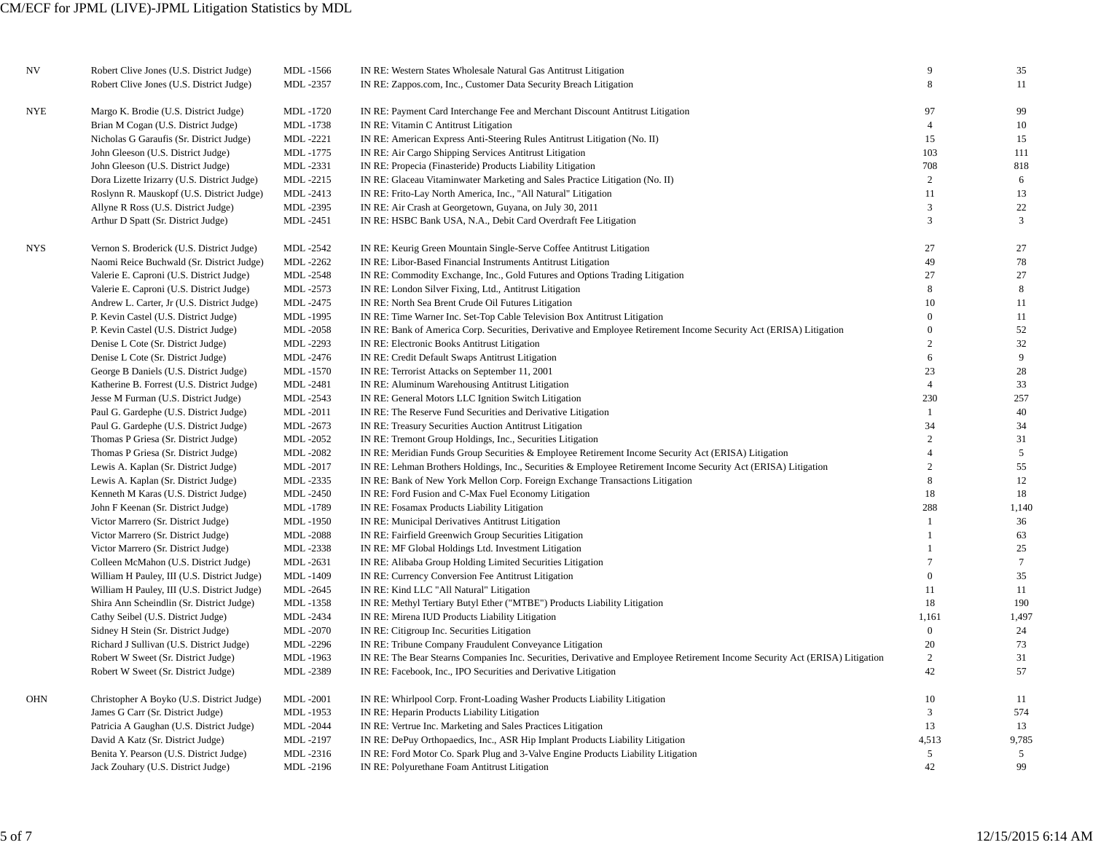| NV         | Robert Clive Jones (U.S. District Judge)    | MDL-1566        | IN RE: Western States Wholesale Natural Gas Antitrust Litigation                                                             | 9              | 35              |
|------------|---------------------------------------------|-----------------|------------------------------------------------------------------------------------------------------------------------------|----------------|-----------------|
|            | Robert Clive Jones (U.S. District Judge)    | MDL-2357        | IN RE: Zappos.com, Inc., Customer Data Security Breach Litigation                                                            | 8              | 11              |
| <b>NYE</b> | Margo K. Brodie (U.S. District Judge)       | MDL-1720        | IN RE: Payment Card Interchange Fee and Merchant Discount Antitrust Litigation                                               | 97             | 99              |
|            | Brian M Cogan (U.S. District Judge)         | MDL-1738        | IN RE: Vitamin C Antitrust Litigation                                                                                        | $\overline{4}$ | 10              |
|            | Nicholas G Garaufis (Sr. District Judge)    | MDL-2221        | IN RE: American Express Anti-Steering Rules Antitrust Litigation (No. II)                                                    | 15             | 15              |
|            | John Gleeson (U.S. District Judge)          | MDL-1775        | IN RE: Air Cargo Shipping Services Antitrust Litigation                                                                      | 103            | 111             |
|            | John Gleeson (U.S. District Judge)          | MDL-2331        | IN RE: Propecia (Finasteride) Products Liability Litigation                                                                  | 708            | 818             |
|            | Dora Lizette Irizarry (U.S. District Judge) | MDL-2215        | IN RE: Glaceau Vitaminwater Marketing and Sales Practice Litigation (No. II)                                                 | $\overline{c}$ | 6               |
|            | Roslynn R. Mauskopf (U.S. District Judge)   | MDL-2413        | IN RE: Frito-Lay North America, Inc., "All Natural" Litigation                                                               | 11             | 13              |
|            | Allyne R Ross (U.S. District Judge)         | MDL-2395        | IN RE: Air Crash at Georgetown, Guyana, on July 30, 2011                                                                     | 3              | 22              |
|            | Arthur D Spatt (Sr. District Judge)         | MDL-2451        | IN RE: HSBC Bank USA, N.A., Debit Card Overdraft Fee Litigation                                                              | 3              | $\mathfrak{Z}$  |
| NYS        | Vernon S. Broderick (U.S. District Judge)   | MDL -2542       | IN RE: Keurig Green Mountain Single-Serve Coffee Antitrust Litigation                                                        | 27             | 27              |
|            | Naomi Reice Buchwald (Sr. District Judge)   | MDL-2262        | IN RE: Libor-Based Financial Instruments Antitrust Litigation                                                                | 49             | 78              |
|            | Valerie E. Caproni (U.S. District Judge)    | MDL-2548        | IN RE: Commodity Exchange, Inc., Gold Futures and Options Trading Litigation                                                 | 27             | 27              |
|            | Valerie E. Caproni (U.S. District Judge)    | MDL-2573        | IN RE: London Silver Fixing, Ltd., Antitrust Litigation                                                                      | 8              | 8               |
|            | Andrew L. Carter, Jr (U.S. District Judge)  | MDL-2475        | IN RE: North Sea Brent Crude Oil Futures Litigation                                                                          | 10             | 11              |
|            | P. Kevin Castel (U.S. District Judge)       | MDL-1995        | IN RE: Time Warner Inc. Set-Top Cable Television Box Antitrust Litigation                                                    | $\Omega$       | 11              |
|            | P. Kevin Castel (U.S. District Judge)       | <b>MDL-2058</b> | IN RE: Bank of America Corp. Securities, Derivative and Employee Retirement Income Security Act (ERISA) Litigation           | $\mathbf{0}$   | 52              |
|            | Denise L Cote (Sr. District Judge)          | MDL-2293        | IN RE: Electronic Books Antitrust Litigation                                                                                 | $\overline{2}$ | 32              |
|            | Denise L Cote (Sr. District Judge)          | MDL-2476        | IN RE: Credit Default Swaps Antitrust Litigation                                                                             | 6              | 9               |
|            | George B Daniels (U.S. District Judge)      | <b>MDL-1570</b> | IN RE: Terrorist Attacks on September 11, 2001                                                                               | 23             | 28              |
|            | Katherine B. Forrest (U.S. District Judge)  | MDL-2481        | IN RE: Aluminum Warehousing Antitrust Litigation                                                                             | $\overline{4}$ | 33              |
|            | Jesse M Furman (U.S. District Judge)        | MDL-2543        | IN RE: General Motors LLC Ignition Switch Litigation                                                                         | 230            | 257             |
|            | Paul G. Gardephe (U.S. District Judge)      | <b>MDL-2011</b> | IN RE: The Reserve Fund Securities and Derivative Litigation                                                                 | $\mathbf{1}$   | 40              |
|            | Paul G. Gardephe (U.S. District Judge)      | MDL-2673        | IN RE: Treasury Securities Auction Antitrust Litigation                                                                      | 34             | 34              |
|            | Thomas P Griesa (Sr. District Judge)        | MDL-2052        | IN RE: Tremont Group Holdings, Inc., Securities Litigation                                                                   | $\overline{c}$ | 31              |
|            | Thomas P Griesa (Sr. District Judge)        | MDL-2082        | IN RE: Meridian Funds Group Securities & Employee Retirement Income Security Act (ERISA) Litigation                          | $\overline{4}$ | $\overline{5}$  |
|            | Lewis A. Kaplan (Sr. District Judge)        | MDL-2017        | IN RE: Lehman Brothers Holdings, Inc., Securities & Employee Retirement Income Security Act (ERISA) Litigation               | $\overline{2}$ | 55              |
|            | Lewis A. Kaplan (Sr. District Judge)        | MDL-2335        | IN RE: Bank of New York Mellon Corp. Foreign Exchange Transactions Litigation                                                | 8              | 12              |
|            | Kenneth M Karas (U.S. District Judge)       | MDL-2450        | IN RE: Ford Fusion and C-Max Fuel Economy Litigation                                                                         | 18             | 18              |
|            | John F Keenan (Sr. District Judge)          | MDL-1789        | IN RE: Fosamax Products Liability Litigation                                                                                 | 288            | 1,140           |
|            | Victor Marrero (Sr. District Judge)         | MDL-1950        | IN RE: Municipal Derivatives Antitrust Litigation                                                                            | $\mathbf{1}$   | 36              |
|            | Victor Marrero (Sr. District Judge)         | MDL-2088        | IN RE: Fairfield Greenwich Group Securities Litigation                                                                       | $\mathbf{1}$   | 63              |
|            | Victor Marrero (Sr. District Judge)         | MDL-2338        | IN RE: MF Global Holdings Ltd. Investment Litigation                                                                         | $\mathbf{1}$   | 25              |
|            | Colleen McMahon (U.S. District Judge)       | MDL-2631        | IN RE: Alibaba Group Holding Limited Securities Litigation                                                                   | $\overline{7}$ | $7\overline{ }$ |
|            | William H Pauley, III (U.S. District Judge) | MDL-1409        | IN RE: Currency Conversion Fee Antitrust Litigation                                                                          | $\mathbf{0}$   | 35              |
|            | William H Pauley, III (U.S. District Judge) | MDL-2645        | IN RE: Kind LLC "All Natural" Litigation                                                                                     | 11             | 11              |
|            | Shira Ann Scheindlin (Sr. District Judge)   | MDL-1358        | IN RE: Methyl Tertiary Butyl Ether ("MTBE") Products Liability Litigation                                                    | 18             | 190             |
|            | Cathy Seibel (U.S. District Judge)          | MDL-2434        | IN RE: Mirena IUD Products Liability Litigation                                                                              | 1,161          | 1,497           |
|            | Sidney H Stein (Sr. District Judge)         | <b>MDL-2070</b> | IN RE: Citigroup Inc. Securities Litigation                                                                                  | $\mathbf{0}$   | 24              |
|            | Richard J Sullivan (U.S. District Judge)    | MDL-2296        | IN RE: Tribune Company Fraudulent Conveyance Litigation                                                                      | 20             | 73              |
|            | Robert W Sweet (Sr. District Judge)         | MDL-1963        | IN RE: The Bear Stearns Companies Inc. Securities, Derivative and Employee Retirement Income Security Act (ERISA) Litigation | $\overline{c}$ | 31              |
|            | Robert W Sweet (Sr. District Judge)         | MDL-2389        | IN RE: Facebook, Inc., IPO Securities and Derivative Litigation                                                              | 42             | 57              |
| <b>OHN</b> | Christopher A Boyko (U.S. District Judge)   | <b>MDL-2001</b> | IN RE: Whirlpool Corp. Front-Loading Washer Products Liability Litigation                                                    | 10             | 11              |
|            | James G Carr (Sr. District Judge)           | MDL-1953        | IN RE: Heparin Products Liability Litigation                                                                                 | 3              | 574             |
|            | Patricia A Gaughan (U.S. District Judge)    | <b>MDL-2044</b> | IN RE: Vertrue Inc. Marketing and Sales Practices Litigation                                                                 | 13             | 13              |
|            | David A Katz (Sr. District Judge)           | MDL-2197        | IN RE: DePuy Orthopaedics, Inc., ASR Hip Implant Products Liability Litigation                                               | 4,513          | 9,785           |
|            | Benita Y. Pearson (U.S. District Judge)     | MDL-2316        | IN RE: Ford Motor Co. Spark Plug and 3-Valve Engine Products Liability Litigation                                            | 5              | 5               |
|            | Jack Zouhary (U.S. District Judge)          | MDL-2196        | IN RE: Polyurethane Foam Antitrust Litigation                                                                                | 42             | 99              |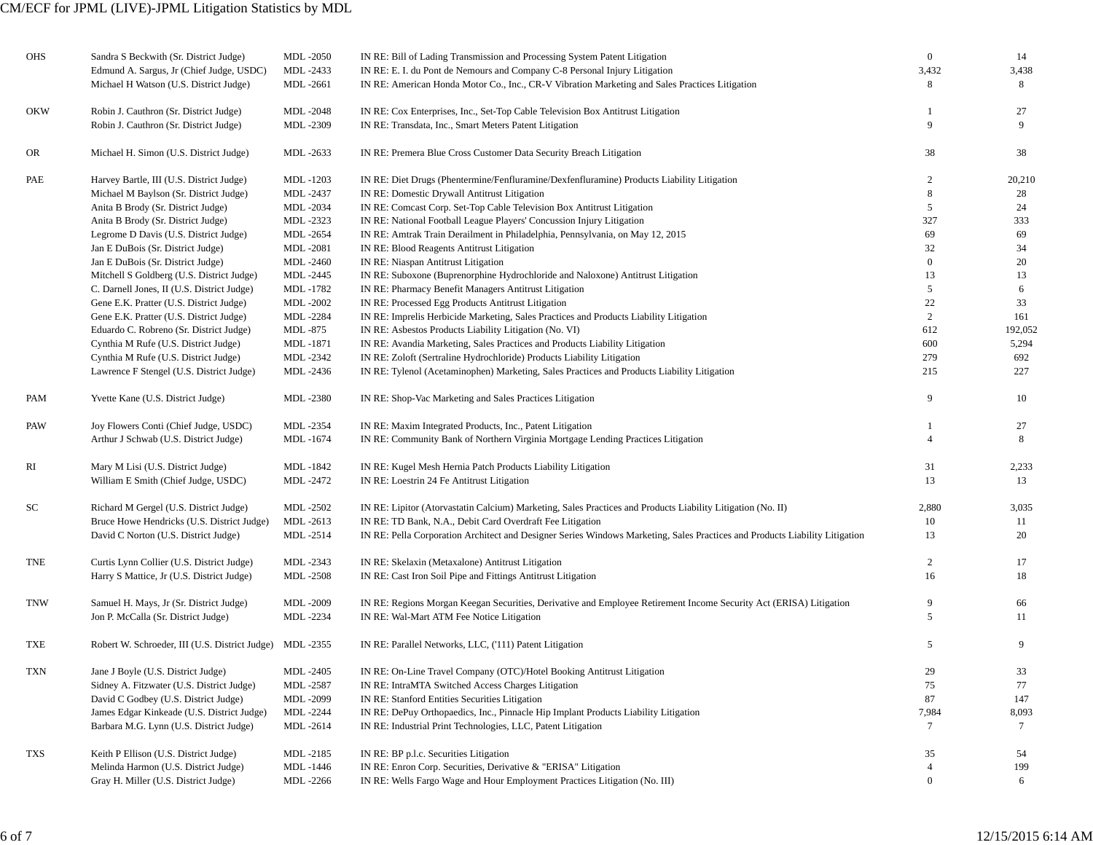## CM/ECF for JPML (LIVE)-JPML Litigation Statistics by MDL

| OHS        | Sandra S Beckwith (Sr. District Judge)                   | <b>MDL-2050</b> | IN RE: Bill of Lading Transmission and Processing System Patent Litigation                                                  | $\mathbf{0}$     | 14      |
|------------|----------------------------------------------------------|-----------------|-----------------------------------------------------------------------------------------------------------------------------|------------------|---------|
|            | Edmund A. Sargus, Jr (Chief Judge, USDC)                 | MDL-2433        | IN RE: E. I. du Pont de Nemours and Company C-8 Personal Injury Litigation                                                  | 3,432            | 3,438   |
|            | Michael H Watson (U.S. District Judge)                   | MDL-2661        | IN RE: American Honda Motor Co., Inc., CR-V Vibration Marketing and Sales Practices Litigation                              | 8                | 8       |
| <b>OKW</b> | Robin J. Cauthron (Sr. District Judge)                   | <b>MDL-2048</b> | IN RE: Cox Enterprises, Inc., Set-Top Cable Television Box Antitrust Litigation                                             |                  | 27      |
|            | Robin J. Cauthron (Sr. District Judge)                   | MDL-2309        | IN RE: Transdata, Inc., Smart Meters Patent Litigation                                                                      | 9                | 9       |
| OR.        | Michael H. Simon (U.S. District Judge)                   | MDL-2633        | IN RE: Premera Blue Cross Customer Data Security Breach Litigation                                                          | 38               | 38      |
| PAE        | Harvey Bartle, III (U.S. District Judge)                 | MDL -1203       | IN RE: Diet Drugs (Phentermine/Fenfluramine/Dexfenfluramine) Products Liability Litigation                                  | 2                | 20,210  |
|            | Michael M Baylson (Sr. District Judge)                   | MDL-2437        | IN RE: Domestic Drywall Antitrust Litigation                                                                                | 8                | 28      |
|            | Anita B Brody (Sr. District Judge)                       | MDL-2034        | IN RE: Comcast Corp. Set-Top Cable Television Box Antitrust Litigation                                                      | 5                | 24      |
|            | Anita B Brody (Sr. District Judge)                       | MDL-2323        | IN RE: National Football League Players' Concussion Injury Litigation                                                       | 327              | 333     |
|            | Legrome D Davis (U.S. District Judge)                    | MDL-2654        | IN RE: Amtrak Train Derailment in Philadelphia, Pennsylvania, on May 12, 2015                                               | 69               | 69      |
|            | Jan E DuBois (Sr. District Judge)                        | MDL-2081        | IN RE: Blood Reagents Antitrust Litigation                                                                                  | 32               | 34      |
|            | Jan E DuBois (Sr. District Judge)                        | <b>MDL-2460</b> | IN RE: Niaspan Antitrust Litigation                                                                                         | $\boldsymbol{0}$ | 20      |
|            | Mitchell S Goldberg (U.S. District Judge)                | MDL-2445        | IN RE: Suboxone (Buprenorphine Hydrochloride and Naloxone) Antitrust Litigation                                             | 13               | 13      |
|            | C. Darnell Jones, II (U.S. District Judge)               | MDL-1782        | IN RE: Pharmacy Benefit Managers Antitrust Litigation                                                                       | 5                | 6       |
|            | Gene E.K. Pratter (U.S. District Judge)                  | <b>MDL-2002</b> | IN RE: Processed Egg Products Antitrust Litigation                                                                          | 22               | 33      |
|            | Gene E.K. Pratter (U.S. District Judge)                  | MDL-2284        | IN RE: Imprelis Herbicide Marketing, Sales Practices and Products Liability Litigation                                      | 2                | 161     |
|            | Eduardo C. Robreno (Sr. District Judge)                  | MDL -875        | IN RE: Asbestos Products Liability Litigation (No. VI)                                                                      | 612              | 192,052 |
|            | Cynthia M Rufe (U.S. District Judge)                     | MDL-1871        | IN RE: Avandia Marketing, Sales Practices and Products Liability Litigation                                                 | 600              | 5,294   |
|            | Cynthia M Rufe (U.S. District Judge)                     | MDL-2342        | IN RE: Zoloft (Sertraline Hydrochloride) Products Liability Litigation                                                      | 279              | 692     |
|            | Lawrence F Stengel (U.S. District Judge)                 | MDL-2436        | IN RE: Tylenol (Acetaminophen) Marketing, Sales Practices and Products Liability Litigation                                 | 215              | 227     |
| PAM        | Yvette Kane (U.S. District Judge)                        | MDL-2380        | IN RE: Shop-Vac Marketing and Sales Practices Litigation                                                                    | 9                | 10      |
| PAW        | Joy Flowers Conti (Chief Judge, USDC)                    | MDL-2354        | IN RE: Maxim Integrated Products, Inc., Patent Litigation                                                                   |                  | 27      |
|            | Arthur J Schwab (U.S. District Judge)                    | MDL-1674        | IN RE: Community Bank of Northern Virginia Mortgage Lending Practices Litigation                                            |                  | 8       |
| RI         | Mary M Lisi (U.S. District Judge)                        | MDL-1842        | IN RE: Kugel Mesh Hernia Patch Products Liability Litigation                                                                | 31               | 2,233   |
|            | William E Smith (Chief Judge, USDC)                      | MDL-2472        | IN RE: Loestrin 24 Fe Antitrust Litigation                                                                                  | 13               | 13      |
| SС         | Richard M Gergel (U.S. District Judge)                   | <b>MDL-2502</b> | IN RE: Lipitor (Atorvastatin Calcium) Marketing, Sales Practices and Products Liability Litigation (No. II)                 | 2,880            | 3,035   |
|            | Bruce Howe Hendricks (U.S. District Judge)               | MDL-2613        | IN RE: TD Bank, N.A., Debit Card Overdraft Fee Litigation                                                                   | 10               | 11      |
|            | David C Norton (U.S. District Judge)                     | MDL-2514        | IN RE: Pella Corporation Architect and Designer Series Windows Marketing, Sales Practices and Products Liability Litigation | 13               | 20      |
| TNE        | Curtis Lynn Collier (U.S. District Judge)                | MDL-2343        | IN RE: Skelaxin (Metaxalone) Antitrust Litigation                                                                           | 2                | 17      |
|            | Harry S Mattice, Jr (U.S. District Judge)                | <b>MDL-2508</b> | IN RE: Cast Iron Soil Pipe and Fittings Antitrust Litigation                                                                | 16               | 18      |
| TNW        | Samuel H. Mays, Jr (Sr. District Judge)                  | MDL-2009        | IN RE: Regions Morgan Keegan Securities, Derivative and Employee Retirement Income Security Act (ERISA) Litigation          | 9                | 66      |
|            | Jon P. McCalla (Sr. District Judge)                      | MDL-2234        | IN RE: Wal-Mart ATM Fee Notice Litigation                                                                                   | 5                | 11      |
| TXE        | Robert W. Schroeder, III (U.S. District Judge) MDL -2355 |                 | IN RE: Parallel Networks, LLC, ('111) Patent Litigation                                                                     | 5                | 9       |
| TXN        | Jane J Boyle (U.S. District Judge)                       | <b>MDL-2405</b> | IN RE: On-Line Travel Company (OTC)/Hotel Booking Antitrust Litigation                                                      | 29               | 33      |
|            | Sidney A. Fitzwater (U.S. District Judge)                | MDL-2587        | IN RE: IntraMTA Switched Access Charges Litigation                                                                          | 75               | 77      |
|            | David C Godbey (U.S. District Judge)                     | MDL-2099        | IN RE: Stanford Entities Securities Litigation                                                                              | 87               | 147     |
|            | James Edgar Kinkeade (U.S. District Judge)               | <b>MDL-2244</b> | IN RE: DePuy Orthopaedics, Inc., Pinnacle Hip Implant Products Liability Litigation                                         | 7,984            | 8,093   |
|            | Barbara M.G. Lynn (U.S. District Judge)                  | MDL-2614        | IN RE: Industrial Print Technologies, LLC, Patent Litigation                                                                | 7                | 7       |
| TXS        | Keith P Ellison (U.S. District Judge)                    | MDL-2185        | IN RE: BP p.l.c. Securities Litigation                                                                                      | 35               | -54     |
|            | Melinda Harmon (U.S. District Judge)                     | MDL-1446        | IN RE: Enron Corp. Securities, Derivative & "ERISA" Litigation                                                              | $\overline{4}$   | 199     |
|            | Gray H. Miller (U.S. District Judge)                     | MDL-2266        | IN RE: Wells Fargo Wage and Hour Employment Practices Litigation (No. III)                                                  | $\boldsymbol{0}$ | 6       |